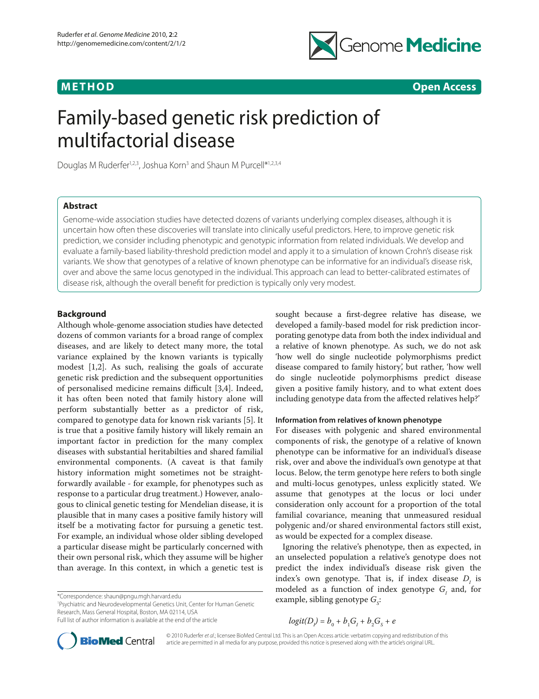

**METHOD Open Access**

# Family-based genetic risk prediction of multifactorial disease

Douglas M Ruderfer<sup>1,2,3</sup>, Joshua Korn<sup>3</sup> and Shaun M Purcell\*<sup>1,2,3,4</sup>

#### **Abstract**

Genome-wide association studies have detected dozens of variants underlying complex diseases, although it is uncertain how often these discoveries will translate into clinically useful predictors. Here, to improve genetic risk prediction, we consider including phenotypic and genotypic information from related individuals. We develop and evaluate a family-based liability-threshold prediction model and apply it to a simulation of known Crohn's disease risk variants. We show that genotypes of a relative of known phenotype can be informative for an individual's disease risk, over and above the same locus genotyped in the individual. This approach can lead to better-calibrated estimates of disease risk, although the overall benefit for prediction is typically only very modest.

#### **Background**

Although whole-genome association studies have detected dozens of common variants for a broad range of complex diseases, and are likely to detect many more, the total variance explained by the known variants is typically modest [1,2]. As such, realising the goals of accurate genetic risk prediction and the subsequent opportunities of personalised medicine remains difficult [3,4]. Indeed, it has often been noted that family history alone will perform substantially better as a predictor of risk, compared to genotype data for known risk variants [5]. It is true that a positive family history will likely remain an important factor in prediction for the many complex diseases with substantial heritabilties and shared familial environmental components. (A caveat is that family history information might sometimes not be straightforwardly available - for example, for phenotypes such as response to a particular drug treatment.) However, analogous to clinical genetic testing for Mendelian disease, it is plausible that in many cases a positive family history will itself be a motivating factor for pursuing a genetic test. For example, an individual whose older sibling developed a particular disease might be particularly concerned with their own personal risk, which they assume will be higher than average. In this context, in which a genetic test is

\*Correspondence: shaun@pngu.mgh.harvard.edu

1 Psychiatric and Neurodevelopmental Genetics Unit, Center for Human Genetic Research, Mass General Hospital, Boston, MA 02114, USA Full list of author information is available at the end of the article

sought because a first-degree relative has disease, we developed a family-based model for risk prediction incorporating genotype data from both the index individual and a relative of known phenotype. As such, we do not ask 'how well do single nucleotide polymorphisms predict disease compared to family history', but rather, 'how well do single nucleotide polymorphisms predict disease given a positive family history, and to what extent does including genotype data from the affected relatives help?'

#### **Information from relatives of known phenotype**

For diseases with polygenic and shared environmental components of risk, the genotype of a relative of known phenotype can be informative for an individual's disease risk, over and above the individual's own genotype at that locus. Below, the term genotype here refers to both single and multi-locus genotypes, unless explicitly stated. We assume that genotypes at the locus or loci under consideration only account for a proportion of the total familial covariance, meaning that unmeasured residual polygenic and/or shared environmental factors still exist, as would be expected for a complex disease.

Ignoring the relative's phenotype, then as expected, in an unselected population a relative's genotype does not predict the index individual's disease risk given the index's own genotype. That is, if index disease  $D<sub>I</sub>$  is modeled as a function of index genotype  $G<sub>I</sub>$  and, for example, sibling genotype  $G_s$ :

 $logit(D_i) = b_0 + b_1G_i + b_2G_s + e$ 



© 2010 Ruderfer *et al*.; licensee BioMed Central Ltd. This is an Open Access article: verbatim copying and redistribution of this article are permitted in all media for any purpose, provided this notice is preserved along with the article's original URL.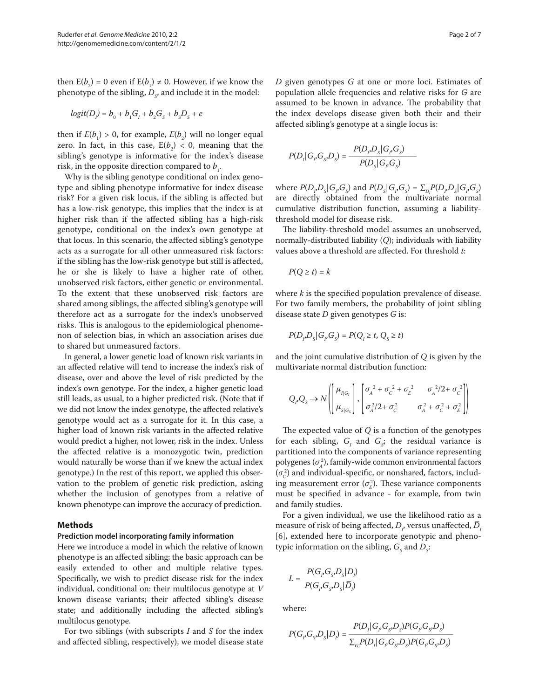then  $E(b_2) = 0$  even if  $E(b_1) \neq 0$ . However, if we know the phenotype of the sibling,  $D_{\rm S^{\prime}}$  and include it in the model:

$$
logit(D1) = b0 + b1G1 + b2G5 + b3D5 + e
$$

then if  $E(b_1) > 0$ , for example,  $E(b_2)$  will no longer equal zero. In fact, in this case,  $E(b_2) < 0$ , meaning that the sibling's genotype is informative for the index's disease risk, in the opposite direction compared to  $b_1$ .

Why is the sibling genotype conditional on index genotype and sibling phenotype informative for index disease risk? For a given risk locus, if the sibling is affected but has a low-risk genotype, this implies that the index is at higher risk than if the affected sibling has a high-risk genotype, conditional on the index's own genotype at that locus. In this scenario, the affected sibling's genotype acts as a surrogate for all other unmeasured risk factors: if the sibling has the low-risk genotype but still is affected, he or she is likely to have a higher rate of other, unobserved risk factors, either genetic or environmental. To the extent that these unobserved risk factors are shared among siblings, the affected sibling's genotype will therefore act as a surrogate for the index's unobserved risks. This is analogous to the epidemiological phenomenon of selection bias, in which an association arises due to shared but unmeasured factors.

In general, a lower genetic load of known risk variants in an affected relative will tend to increase the index's risk of disease, over and above the level of risk predicted by the index's own genotype. For the index, a higher genetic load still leads, as usual, to a higher predicted risk. (Note that if we did not know the index genotype, the affected relative's genotype would act as a surrogate for it. In this case, a higher load of known risk variants in the affected relative would predict a higher, not lower, risk in the index. Unless the affected relative is a monozygotic twin, prediction would naturally be worse than if we knew the actual index genotype.) In the rest of this report, we applied this observation to the problem of genetic risk prediction, asking whether the inclusion of genotypes from a relative of known phenotype can improve the accuracy of prediction.

#### **Methods**

#### **Prediction model incorporating family information**

Here we introduce a model in which the relative of known phenotype is an affected sibling; the basic approach can be easily extended to other and multiple relative types. Specifically, we wish to predict disease risk for the index individual, conditional on: their multilocus genotype at *V* known disease variants; their affected sibling's disease state; and additionally including the affected sibling's multilocus genotype.

For two siblings (with subscripts *I* and *S* for the index and affected sibling, respectively), we model disease state *D* given genotypes *G* at one or more loci. Estimates of population allele frequencies and relative risks for *G* are assumed to be known in advance. The probability that the index develops disease given both their and their affected sibling's genotype at a single locus is:

$$
P(D_j|G_jG_{S_j}D_S) = \frac{P(D_jD_S|G_jG_S)}{P(D_S|G_jG_S)}
$$

where  $P(D_i, D_s | G_i, G_s)$  and  $P(D_s | G_i, G_s) = \sum_{D_i} P(D_i, D_s | G_i, G_s)$ are directly obtained from the multivariate normal cumulative distribution function, assuming a liabilitythreshold model for disease risk.

The liability-threshold model assumes an unobserved, normally-distributed liability (*Q*); individuals with liability values above a threshold are affected. For threshold *t*:

$$
P(Q \geq t) = k
$$

where *k* is the specified population prevalence of disease. For two family members, the probability of joint sibling disease state *D* given genotypes *G* is:

$$
P(D_p D_s | G_p G_s) = P(Q_t \geq t, Q_s \geq t)
$$

and the joint cumulative distribution of *Q* is given by the multivariate normal distribution function:

$$
Q_{p}Q_{s} \to N \left( \begin{bmatrix} \mu_{I|G_{i}} \\ \mu_{S|G_{s}} \end{bmatrix}, \begin{bmatrix} \sigma_{A}^{2} + \sigma_{C}^{2} + \sigma_{E}^{2} & \sigma_{A}^{2}/2 + \sigma_{C}^{2} \\ \sigma_{A}^{2}/2 + \sigma_{C}^{2} & \sigma_{A}^{2} + \sigma_{C}^{2} + \sigma_{E}^{2} \end{bmatrix} \right)
$$

The expected value of *Q* is a function of the genotypes for each sibling,  $G<sub>I</sub>$  and  $G<sub>S</sub>$ ; the residual variance is partitioned into the components of variance representing  $\text{polygenes} (\sigma_A^2)$ , family-wide common environmental factors  $(\sigma_c^2)$  and individual-specific, or nonshared, factors, including measurement error  $(\sigma_E^2)$ . These variance components must be specified in advance - for example, from twin and family studies.

For a given individual, we use the likelihood ratio as a measure of risk of being affected,  $D_i$  versus unaffected,  $\overline{D}_j$ [6], extended here to incorporate genotypic and phenotypic information on the sibling,  $G_s$  and  $D_s$ :

$$
L = \frac{P(G_p G_{S} D_S | D_i)}{P(G_p G_{S} D_S | \overline{D}_i)}
$$

where:

$$
P(G_p G_s D_s | D_i) = \frac{P(D_i | G_p G_s D_s) P(G_p G_s D_s)}{\sum_{G_i} P(D_i | G_p G_s D_s) P(G_p G_s D_s)}
$$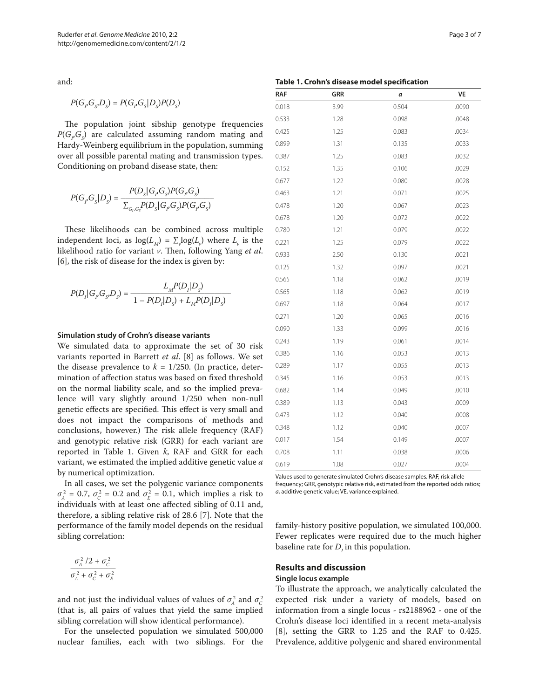and:

$$
P(G_p G_s D_s) = P(G_p G_s | D_s) P(D_s)
$$

The population joint sibship genotype frequencies  $P(G_p G_s)$  are calculated assuming random mating and Hardy-Weinberg equilibrium in the population, summing over all possible parental mating and transmission types. Conditioning on proband disease state, then:

$$
P(G_p G_s | D_s) = \frac{P(D_s | G_p G_s) P(G_p G_s)}{\sum_{G_p G_s} P(D_s | G_p G_s) P(G_p G_s)}
$$

These likelihoods can be combined across multiple independent loci, as  $log(L_M) = \sum_{\nu} log(L_{\nu})$  where  $L_{\nu}$  is the likelihood ratio for variant *v*. Then, following Yang *et al*. [6], the risk of disease for the index is given by:

$$
P(D_i | G_j G_s D_s) = \frac{L_M P(D_i | D_s)}{1 - P(D_i | D_s) + L_M P(D_i | D_s)}
$$

#### **Simulation study of Crohn's disease variants**

We simulated data to approximate the set of 30 risk variants reported in Barrett *et al*. [8] as follows. We set the disease prevalence to  $k = 1/250$ . (In practice, determination of affection status was based on fixed threshold on the normal liability scale, and so the implied prevalence will vary slightly around 1/250 when non-null genetic effects are specified. This effect is very small and does not impact the comparisons of methods and conclusions, however.) The risk allele frequency (RAF) and genotypic relative risk (GRR) for each variant are reported in Table 1. Given *k*, RAF and GRR for each variant, we estimated the implied additive genetic value *a* by numerical optimization.

In all cases, we set the polygenic variance components  $\sigma_A^2 = 0.7$ ,  $\sigma_C^2 = 0.2$  and  $\sigma_E^2 = 0.1$ , which implies a risk to individuals with at least one affected sibling of 0.11 and, therefore, a sibling relative risk of 28.6 [7]. Note that the performance of the family model depends on the residual sibling correlation:

$$
\frac{\sigma_A^2/2 + \sigma_C^2}{\sigma_A^2 + \sigma_C^2 + \sigma_E^2}
$$

and not just the individual values of values of  $\sigma_A^2$  and  $\sigma_C^2$ (that is, all pairs of values that yield the same implied sibling correlation will show identical performance).

For the unselected population we simulated 500,000 nuclear families, each with two siblings. For the

| Page 3 of 7 |  |  |  |
|-------------|--|--|--|
|-------------|--|--|--|

#### **Table 1. Crohn's disease model specification**

| <b>RAF</b> | GRR  | а     | VE    |  |
|------------|------|-------|-------|--|
| 0.018      | 3.99 | 0.504 | .0090 |  |
| 0.533      | 1.28 | 0.098 | .0048 |  |
| 0.425      | 1.25 | 0.083 | .0034 |  |
| 0.899      | 1.31 | 0.135 | .0033 |  |
| 0.387      | 1.25 | 0.083 | .0032 |  |
| 0.152      | 1.35 | 0.106 | .0029 |  |
| 0.677      | 1.22 | 0.080 | .0028 |  |
| 0.463      | 1.21 | 0.071 | .0025 |  |
| 0.478      | 1.20 | 0.067 | .0023 |  |
| 0.678      | 1.20 | 0.072 | .0022 |  |
| 0.780      | 1.21 | 0.079 | .0022 |  |
| 0.221      | 1.25 | 0.079 | .0022 |  |
| 0.933      | 2.50 | 0.130 | .0021 |  |
| 0.125      | 1.32 | 0.097 | .0021 |  |
| 0.565      | 1.18 | 0.062 | .0019 |  |
| 0.565      | 1.18 | 0.062 | .0019 |  |
| 0.697      | 1.18 | 0.064 | .0017 |  |
| 0.271      | 1.20 | 0.065 | .0016 |  |
| 0.090      | 1.33 | 0.099 | .0016 |  |
| 0.243      | 1.19 | 0.061 | .0014 |  |
| 0.386      | 1.16 | 0.053 | .0013 |  |
| 0.289      | 1.17 | 0.055 | .0013 |  |
| 0.345      | 1.16 | 0.053 | .0013 |  |
| 0.682      | 1.14 | 0.049 | .0010 |  |
| 0.389      | 1.13 | 0.043 | .0009 |  |
| 0.473      | 1.12 | 0.040 | .0008 |  |
| 0.348      | 1.12 | 0.040 | .0007 |  |
| 0.017      | 1.54 | 0.149 | .0007 |  |
| 0.708      | 1.11 | 0.038 | .0006 |  |
| 0.619      | 1.08 | 0.027 | .0004 |  |

Values used to generate simulated Crohn's disease samples. RAF, risk allele frequency; GRR, genotypic relative risk, estimated from the reported odds ratios; *a*, additive genetic value; VE, variance explained.

family-history positive population, we simulated 100,000. Fewer replicates were required due to the much higher baseline rate for  $D<sub>I</sub>$  in this population.

## **Results and discussion**

### **Single locus example**

To illustrate the approach, we analytically calculated the expected risk under a variety of models, based on information from a single locus - rs2188962 - one of the Crohn's disease loci identified in a recent meta-analysis [8], setting the GRR to 1.25 and the RAF to 0.425. Prevalence, additive polygenic and shared environmental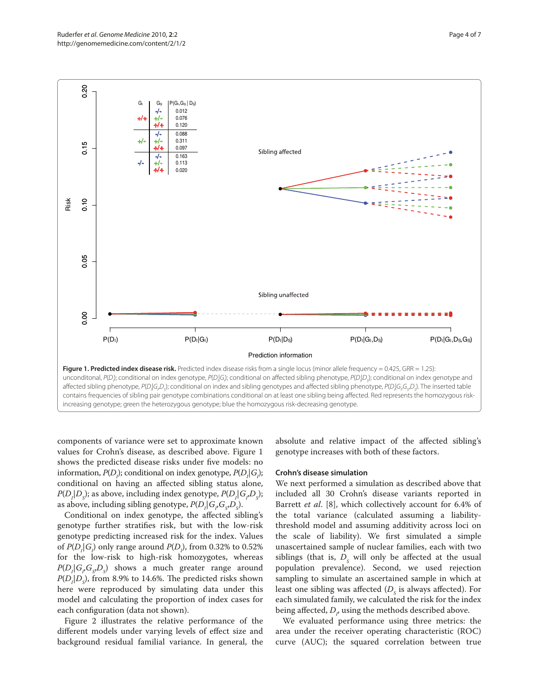

components of variance were set to approximate known values for Crohn's disease, as described above. Figure 1 shows the predicted disease risks under five models: no information,  $P(D_j)$ ; conditional on index genotype,  $P(D_j|G_j)$ ; conditional on having an affected sibling status alone,  $P(D_{I}|D_{S})$ ; as above, including index genotype,  $P(D_{I}|G_{I}D_{S})$ ; as above, including sibling genotype,  $P(D<sub>I</sub>|G<sub>I</sub>, G<sub>S</sub>, D<sub>S</sub>)$ .

Conditional on index genotype, the affected sibling's genotype further stratifies risk, but with the low-risk genotype predicting increased risk for the index. Values of  $P(D_i|G)$  only range around  $P(D_i)$ , from 0.32% to 0.52% for the low-risk to high-risk homozygotes, whereas  $P(D_i | G_i G_s D_s)$  shows a much greater range around  $P(D<sub>i</sub>|D<sub>s</sub>)$ , from 8.9% to 14.6%. The predicted risks shown here were reproduced by simulating data under this model and calculating the proportion of index cases for each configuration (data not shown).

Figure 2 illustrates the relative performance of the different models under varying levels of effect size and background residual familial variance. In general, the absolute and relative impact of the affected sibling's genotype increases with both of these factors.

#### **Crohn's disease simulation**

We next performed a simulation as described above that included all 30 Crohn's disease variants reported in Barrett *et al*. [8], which collectively account for 6.4% of the total variance (calculated assuming a liabilitythreshold model and assuming additivity across loci on the scale of liability). We first simulated a simple unascertained sample of nuclear families, each with two siblings (that is,  $D<sub>s</sub>$  will only be affected at the usual population prevalence). Second, we used rejection sampling to simulate an ascertained sample in which at least one sibling was affected  $(D<sub>s</sub>$  is always affected). For each simulated family, we calculated the risk for the index being affected,  $D_{p}$  using the methods described above.

We evaluated performance using three metrics: the area under the receiver operating characteristic (ROC) curve (AUC); the squared correlation between true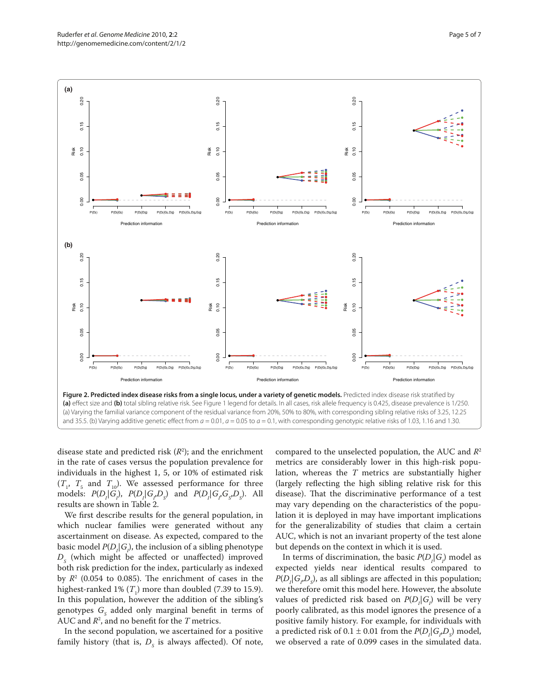

disease state and predicted risk  $(R^2)$ ; and the enrichment in the rate of cases versus the population prevalence for individuals in the highest 1, 5, or 10% of estimated risk  $(T_1, T_5, T_1)$  and  $T_{10}$ ). We assessed performance for three models:  $P(D_i|G_i)$ ,  $P(D_i|G_iD_s)$  and  $P(D_i|G_iG_sD_s)$ . All results are shown in Table 2.

We first describe results for the general population, in which nuclear families were generated without any ascertainment on disease. As expected, compared to the basic model  $P(D<sub>I</sub>|G<sub>I</sub>)$ , the inclusion of a sibling phenotype  $D<sub>s</sub>$  (which might be affected or unaffected) improved both risk prediction for the index, particularly as indexed by  $R<sup>2</sup>$  (0.054 to 0.085). The enrichment of cases in the highest-ranked  $1\%$  ( $T_1$ ) more than doubled (7.39 to 15.9). In this population, however the addition of the sibling's genotypes  $G<sub>s</sub>$  added only marginal benefit in terms of AUC and *R*<sup>2</sup> , and no benefit for the *T* metrics.

In the second population, we ascertained for a positive family history (that is,  $D_{\rm s}$  is always affected). Of note,

compared to the unselected population, the AUC and *R*<sup>2</sup> metrics are considerably lower in this high-risk population, whereas the *T* metrics are substantially higher (largely reflecting the high sibling relative risk for this disease). That the discriminative performance of a test may vary depending on the characteristics of the population it is deployed in may have important implications for the generalizability of studies that claim a certain AUC, which is not an invariant property of the test alone but depends on the context in which it is used.

In terms of discrimination, the basic  $P(D<sub>1</sub>|G<sub>1</sub>)$  model as expected yields near identical results compared to  $P(D<sub>I</sub>|G<sub>I</sub>,D<sub>S</sub>)$ , as all siblings are affected in this population; we therefore omit this model here. However, the absolute values of predicted risk based on  $P(D_i|G_i)$  will be very poorly calibrated, as this model ignores the presence of a positive family history. For example, for individuals with a predicted risk of  $0.1 \pm 0.01$  from the  $P(D_i | G_i, D_s)$  model, we observed a rate of 0.099 cases in the simulated data.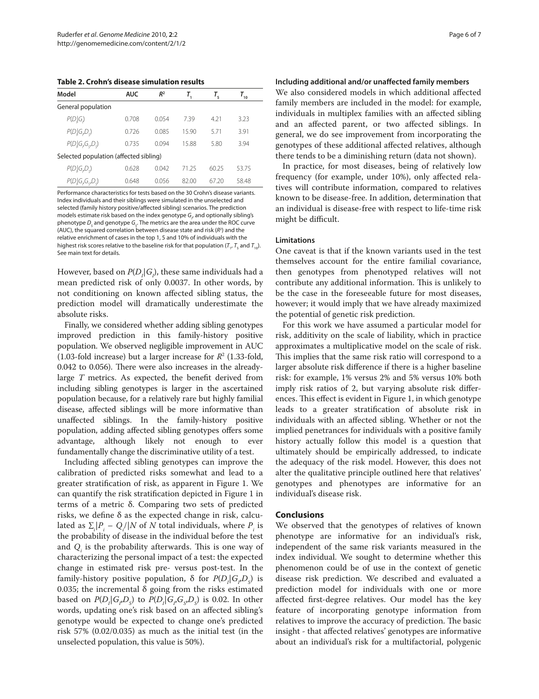**Table 2. Crohn's disease simulation results**

| Model                                  | <b>AUC</b> | R <sup>2</sup> |       | Т,    | $T_{10}$ |  |  |
|----------------------------------------|------------|----------------|-------|-------|----------|--|--|
| General population                     |            |                |       |       |          |  |  |
| P(D,  G)                               | 0.708      | 0.054          | 739   | 4.21  | 3.23     |  |  |
| P(D,  G, D)                            | 0.726      | 0.085          | 15.90 | 5.71  | 3.91     |  |  |
| P(D,  G, G, D)                         | 0.735      | 0.094          | 15.88 | 5.80  | 3.94     |  |  |
| Selected population (affected sibling) |            |                |       |       |          |  |  |
| P(D,  G, D)                            | 0.628      | 0.042          | 71 25 | 60.25 | 53.75    |  |  |
| $P(D_i G_iG_oD_o)$                     | 0.648      | 0056           | 82.00 | 67 20 | 58.48    |  |  |

Performance characteristics for tests based on the 30 Crohn's disease variants. Index individuals and their siblings were simulated in the unselected and selected (family history positive/affected sibling) scenarios. The prediction models estimate risk based on the index genotype *G<sub>I</sub>* and optionally sibling's phenotype  $D_{\mathcal{S}}$  and genotype  $G_{\mathcal{S}}$ . The metrics are the area under the ROC curve (AUC), the squared correlation between disease state and risk (*R*<sup>2</sup> ) and the relative enrichment of cases in the top 1, 5 and 10% of individuals with the highest risk scores relative to the baseline risk for that population ( $T_{1}$ ,  $T_{5}$  and  $T_{10}$ ). See main text for details.

However, based on  $P(D_{I}|G_{I})$ , these same individuals had a mean predicted risk of only 0.0037. In other words, by not conditioning on known affected sibling status, the prediction model will dramatically underestimate the absolute risks.

Finally, we considered whether adding sibling genotypes improved prediction in this family-history positive population. We observed negligible improvement in AUC  $(1.03\text{-}fold\text{ increase})$  but a larger increase for  $R^2$   $(1.33\text{-}fold,$ 0.042 to 0.056). There were also increases in the alreadylarge *T* metrics. As expected, the benefit derived from including sibling genotypes is larger in the ascertained population because, for a relatively rare but highly familial disease, affected siblings will be more informative than unaffected siblings. In the family-history positive population, adding affected sibling genotypes offers some advantage, although likely not enough to ever fundamentally change the discriminative utility of a test.

Including affected sibling genotypes can improve the calibration of predicted risks somewhat and lead to a greater stratification of risk, as apparent in Figure 1. We can quantify the risk stratification depicted in Figure 1 in terms of a metric δ. Comparing two sets of predicted risks, we define  $\delta$  as the expected change in risk, calculated as  $\sum_i |P_i - Q_i|/N$  of *N* total individuals, where  $P_i$  is the probability of disease in the individual before the test and  $Q_i$  is the probability afterwards. This is one way of characterizing the personal impact of a test: the expected change in estimated risk pre- versus post-test. In the family-history positive population,  $\delta$  for  $P(D_i | G_i, D_s)$  is 0.035; the incremental  $\delta$  going from the risks estimated based on  $P(D_i|G_i,D_s)$  to  $P(D_i|G_i,G_s,D_s)$  is 0.02. In other words, updating one's risk based on an affected sibling's genotype would be expected to change one's predicted risk 57% (0.02/0.035) as much as the initial test (in the unselected population, this value is 50%).

**Including additional and/or unaffected family members**

We also considered models in which additional affected family members are included in the model: for example, individuals in multiplex families with an affected sibling and an affected parent, or two affected siblings. In general, we do see improvement from incorporating the genotypes of these additional affected relatives, although there tends to be a diminishing return (data not shown).

In practice, for most diseases, being of relatively low frequency (for example, under 10%), only affected relatives will contribute information, compared to relatives known to be disease-free. In addition, determination that an individual is disease-free with respect to life-time risk might be difficult.

#### **Limitations**

One caveat is that if the known variants used in the test themselves account for the entire familial covariance, then genotypes from phenotyped relatives will not contribute any additional information. This is unlikely to be the case in the foreseeable future for most diseases, however; it would imply that we have already maximized the potential of genetic risk prediction.

For this work we have assumed a particular model for risk, additivity on the scale of liability, which in practice approximates a multiplicative model on the scale of risk. This implies that the same risk ratio will correspond to a larger absolute risk difference if there is a higher baseline risk: for example, 1% versus 2% and 5% versus 10% both imply risk ratios of 2, but varying absolute risk differences. This effect is evident in Figure 1, in which genotype leads to a greater stratification of absolute risk in individuals with an affected sibling. Whether or not the implied penetrances for individuals with a positive family history actually follow this model is a question that ultimately should be empirically addressed, to indicate the adequacy of the risk model. However, this does not alter the qualitative principle outlined here that relatives' genotypes and phenotypes are informative for an individual's disease risk.

#### **Conclusions**

We observed that the genotypes of relatives of known phenotype are informative for an individual's risk, independent of the same risk variants measured in the index individual. We sought to determine whether this phenomenon could be of use in the context of genetic disease risk prediction. We described and evaluated a prediction model for individuals with one or more affected first-degree relatives. Our model has the key feature of incorporating genotype information from relatives to improve the accuracy of prediction. The basic insight - that affected relatives' genotypes are informative about an individual's risk for a multifactorial, polygenic